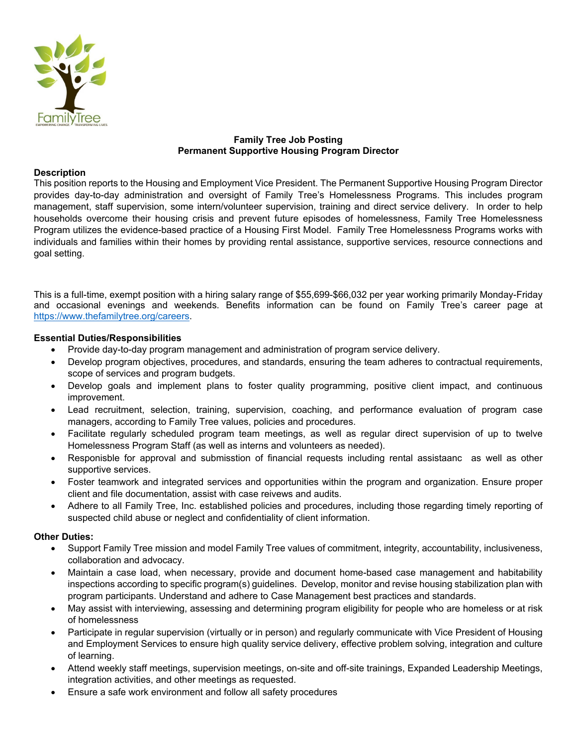

# **Family Tree Job Posting Permanent Supportive Housing Program Director**

## **Description**

This position reports to the Housing and Employment Vice President. The Permanent Supportive Housing Program Director provides day-to-day administration and oversight of Family Tree's Homelessness Programs. This includes program management, staff supervision, some intern/volunteer supervision, training and direct service delivery. In order to help households overcome their housing crisis and prevent future episodes of homelessness, Family Tree Homelessness Program utilizes the evidence-based practice of a Housing First Model. Family Tree Homelessness Programs works with individuals and families within their homes by providing rental assistance, supportive services, resource connections and goal setting.

This is a full-time, exempt position with a hiring salary range of \$55,699-\$66,032 per year working primarily Monday-Friday and occasional evenings and weekends. Benefits information can be found on Family Tree's career page at https://www.thefamilytree.org/careers.

## **Essential Duties/Responsibilities**

- Provide day-to-day program management and administration of program service delivery.
- Develop program objectives, procedures, and standards, ensuring the team adheres to contractual requirements, scope of services and program budgets.
- Develop goals and implement plans to foster quality programming, positive client impact, and continuous improvement.
- Lead recruitment, selection, training, supervision, coaching, and performance evaluation of program case managers, according to Family Tree values, policies and procedures.
- Facilitate regularly scheduled program team meetings, as well as regular direct supervision of up to twelve Homelessness Program Staff (as well as interns and volunteers as needed).
- Responisble for approval and submisstion of financial requests including rental assistaanc as well as other supportive services.
- Foster teamwork and integrated services and opportunities within the program and organization. Ensure proper client and file documentation, assist with case reivews and audits.
- Adhere to all Family Tree, Inc. established policies and procedures, including those regarding timely reporting of suspected child abuse or neglect and confidentiality of client information.

#### **Other Duties:**

- Support Family Tree mission and model Family Tree values of commitment, integrity, accountability, inclusiveness, collaboration and advocacy.
- Maintain a case load, when necessary, provide and document home-based case management and habitability inspections according to specific program(s) guidelines. Develop, monitor and revise housing stabilization plan with program participants. Understand and adhere to Case Management best practices and standards.
- May assist with interviewing, assessing and determining program eligibility for people who are homeless or at risk of homelessness
- Participate in regular supervision (virtually or in person) and regularly communicate with Vice President of Housing and Employment Services to ensure high quality service delivery, effective problem solving, integration and culture of learning.
- Attend weekly staff meetings, supervision meetings, on-site and off-site trainings, Expanded Leadership Meetings, integration activities, and other meetings as requested.
- Ensure a safe work environment and follow all safety procedures